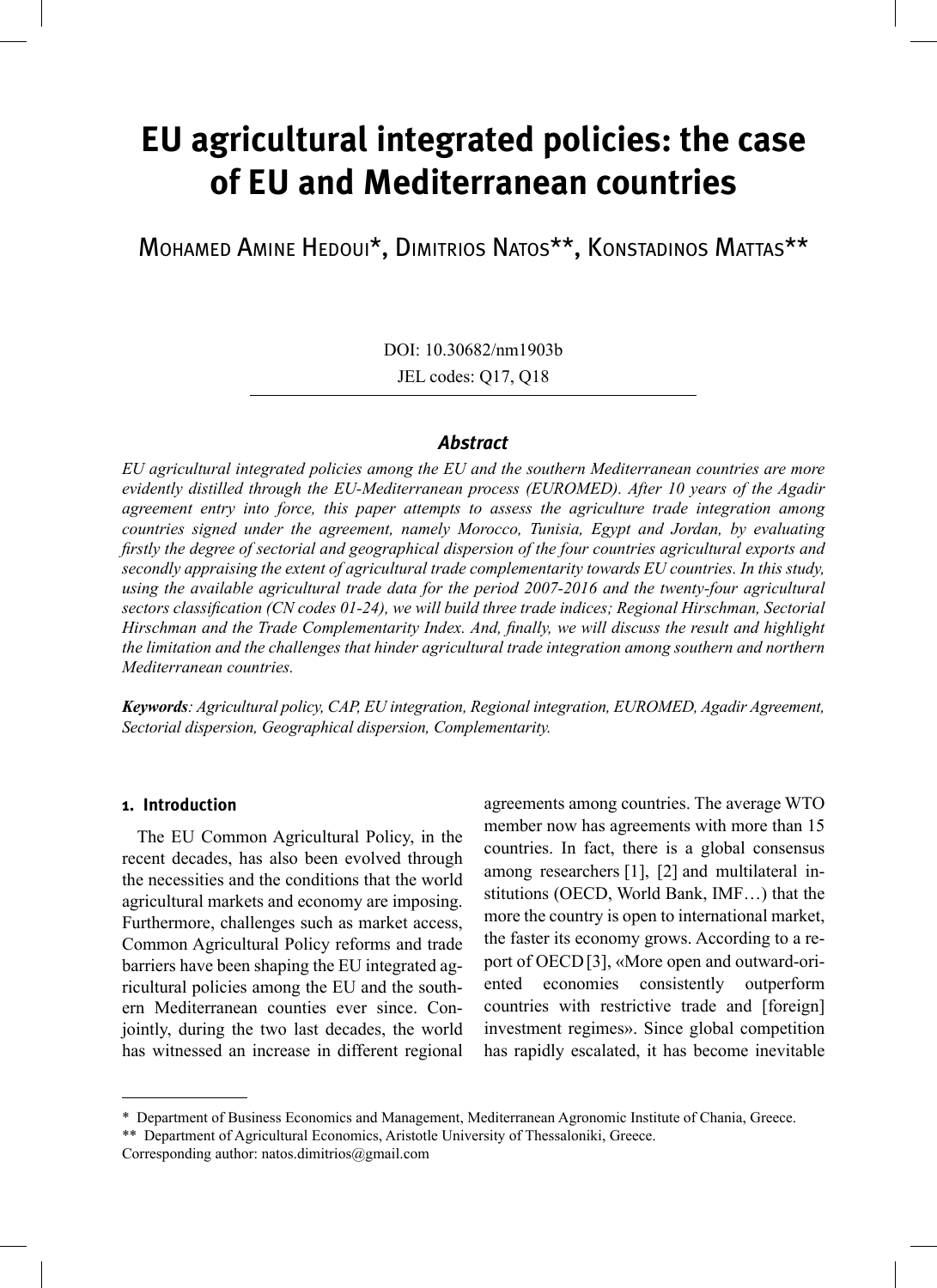# **EU agricultural integrated policies: the case of EU and Mediterranean countries**

Mohamed Amine Hedoui\*, Dimitrios Natos\*\*, Konstadinos Mattas\*\*

DOI: 10.30682/nm1903b

JEL codes: Q17, Q18

## *Abstract*

*EU agricultural integrated policies among the EU and the southern Mediterranean countries are more evidently distilled through the EU-Mediterranean process (EUROMED). After 10 years of the Agadir agreement entry into force, this paper attempts to assess the agriculture trade integration among countries signed under the agreement, namely Morocco, Tunisia, Egypt and Jordan, by evaluating firstly the degree of sectorial and geographical dispersion of the four countries agricultural exports and secondly appraising the extent of agricultural trade complementarity towards EU countries. In this study, using the available agricultural trade data for the period 2007-2016 and the twenty-four agricultural sectors classification (CN codes 01-24), we will build three trade indices; Regional Hirschman, Sectorial Hirschman and the Trade Complementarity Index. And, finally, we will discuss the result and highlight the limitation and the challenges that hinder agricultural trade integration among southern and northern Mediterranean countries.*

*Keywords: Agricultural policy, CAP, EU integration, Regional integration, EUROMED, Agadir Agreement, Sectorial dispersion, Geographical dispersion, Complementarity.* 

#### **1. Introduction**

The EU Common Agricultural Policy, in the recent decades, has also been evolved through the necessities and the conditions that the world agricultural markets and economy are imposing. Furthermore, challenges such as market access, Common Agricultural Policy reforms and trade barriers have been shaping the EU integrated agricultural policies among the EU and the southern Mediterranean counties ever since. Conjointly, during the two last decades, the world has witnessed an increase in different regional

agreements among countries. The average WTO member now has agreements with more than 15 countries. In fact, there is a global consensus among researchers [1], [2] and multilateral institutions (OECD, World Bank, IMF…) that the more the country is open to international market, the faster its economy grows. According to a report of OECD[3], «More open and outward-oriented economies consistently outperform countries with restrictive trade and [foreign] investment regimes». Since global competition has rapidly escalated, it has become inevitable

<sup>\*</sup> Department of Business Economics and Management, Mediterranean Agronomic Institute of Chania, Greece.

<sup>\*\*</sup> Department of Agricultural Economics, Aristotle University of Thessaloniki, Greece.

Corresponding author: natos.dimitrios@gmail.com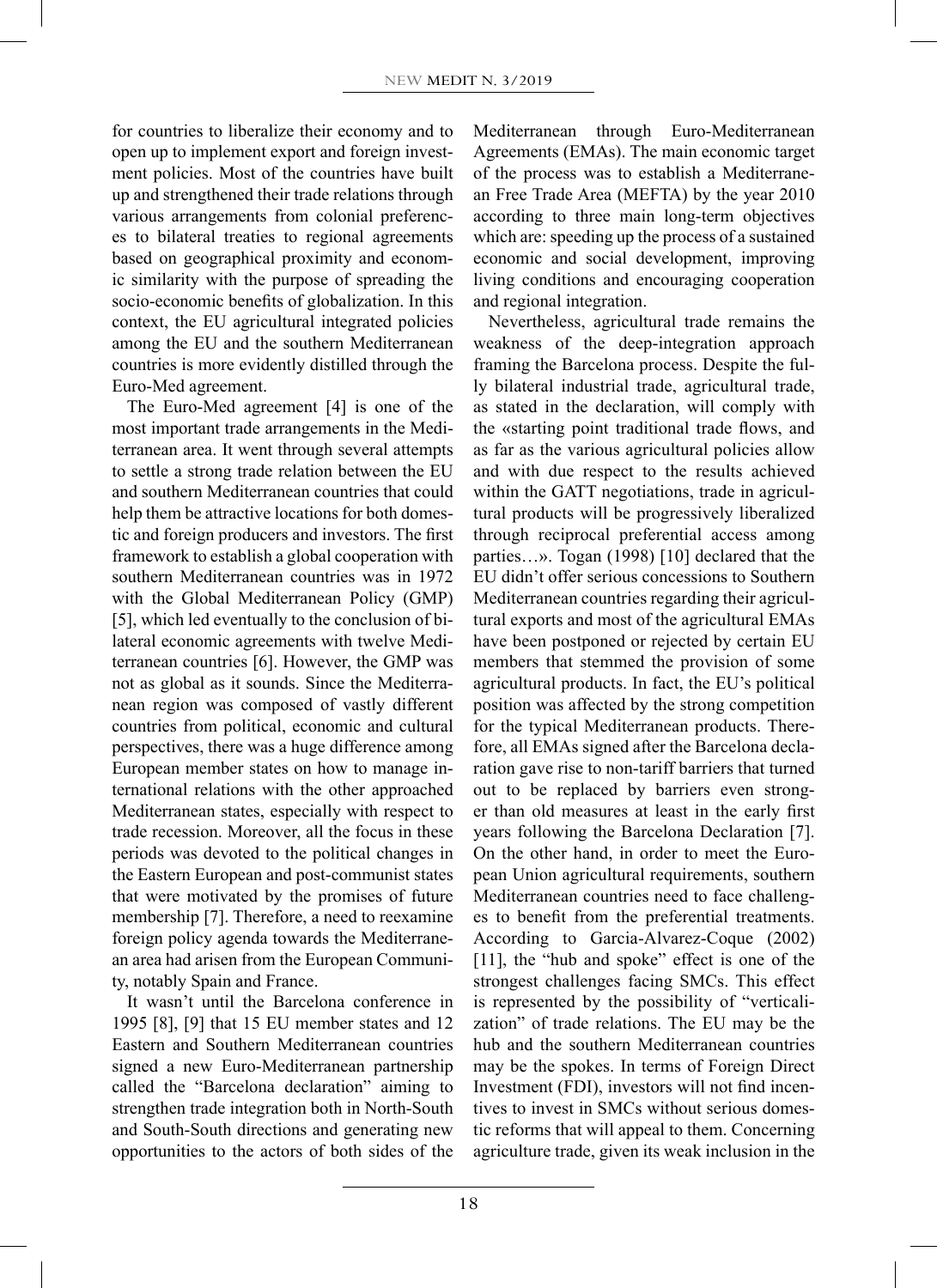for countries to liberalize their economy and to open up to implement export and foreign investment policies. Most of the countries have built up and strengthened their trade relations through various arrangements from colonial preferences to bilateral treaties to regional agreements based on geographical proximity and economic similarity with the purpose of spreading the socio-economic benefits of globalization. In this context, the EU agricultural integrated policies among the EU and the southern Mediterranean countries is more evidently distilled through the Euro-Med agreement.

The Euro-Med agreement [4] is one of the most important trade arrangements in the Mediterranean area. It went through several attempts to settle a strong trade relation between the EU and southern Mediterranean countries that could help them be attractive locations for both domestic and foreign producers and investors. The first framework to establish a global cooperation with southern Mediterranean countries was in 1972 with the Global Mediterranean Policy (GMP) [5], which led eventually to the conclusion of bilateral economic agreements with twelve Mediterranean countries [6]. However, the GMP was not as global as it sounds. Since the Mediterranean region was composed of vastly different countries from political, economic and cultural perspectives, there was a huge difference among European member states on how to manage international relations with the other approached Mediterranean states, especially with respect to trade recession. Moreover, all the focus in these periods was devoted to the political changes in the Eastern European and post-communist states that were motivated by the promises of future membership [7]. Therefore, a need to reexamine foreign policy agenda towards the Mediterranean area had arisen from the European Community, notably Spain and France.

It wasn't until the Barcelona conference in 1995 [8], [9] that 15 EU member states and 12 Eastern and Southern Mediterranean countries signed a new Euro-Mediterranean partnership called the "Barcelona declaration" aiming to strengthen trade integration both in North-South and South-South directions and generating new opportunities to the actors of both sides of the Mediterranean through Euro-Mediterranean Agreements (EMAs). The main economic target of the process was to establish a Mediterranean Free Trade Area (MEFTA) by the year 2010 according to three main long-term objectives which are: speeding up the process of a sustained economic and social development, improving living conditions and encouraging cooperation and regional integration.

Nevertheless, agricultural trade remains the weakness of the deep-integration approach framing the Barcelona process. Despite the fully bilateral industrial trade, agricultural trade, as stated in the declaration, will comply with the «starting point traditional trade flows, and as far as the various agricultural policies allow and with due respect to the results achieved within the GATT negotiations, trade in agricultural products will be progressively liberalized through reciprocal preferential access among parties…». Togan (1998) [10] declared that the EU didn't offer serious concessions to Southern Mediterranean countries regarding their agricultural exports and most of the agricultural EMAs have been postponed or rejected by certain EU members that stemmed the provision of some agricultural products. In fact, the EU's political position was affected by the strong competition for the typical Mediterranean products. Therefore, all EMAs signed after the Barcelona declaration gave rise to non-tariff barriers that turned out to be replaced by barriers even stronger than old measures at least in the early first years following the Barcelona Declaration [7]. On the other hand, in order to meet the European Union agricultural requirements, southern Mediterranean countries need to face challenges to benefit from the preferential treatments. According to Garcia-Alvarez-Coque (2002) [11], the "hub and spoke" effect is one of the strongest challenges facing SMCs. This effect is represented by the possibility of "verticalization" of trade relations. The EU may be the hub and the southern Mediterranean countries may be the spokes. In terms of Foreign Direct Investment (FDI), investors will not find incentives to invest in SMCs without serious domestic reforms that will appeal to them. Concerning agriculture trade, given its weak inclusion in the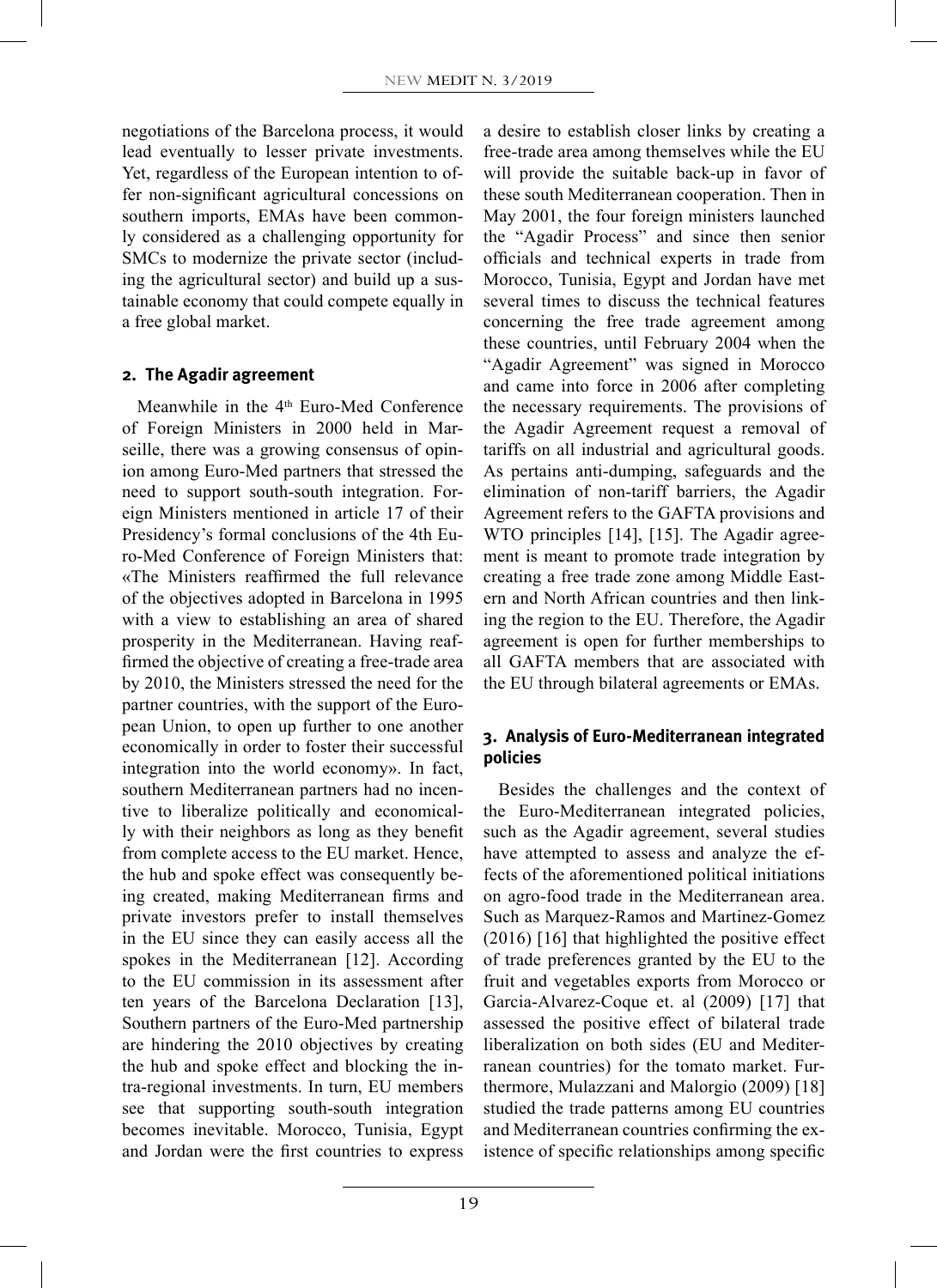negotiations of the Barcelona process, it would lead eventually to lesser private investments. Yet, regardless of the European intention to offer non-significant agricultural concessions on southern imports, EMAs have been commonly considered as a challenging opportunity for SMCs to modernize the private sector (including the agricultural sector) and build up a sustainable economy that could compete equally in a free global market.

#### **2. The Agadir agreement**

Meanwhile in the 4<sup>th</sup> Euro-Med Conference of Foreign Ministers in 2000 held in Marseille, there was a growing consensus of opinion among Euro-Med partners that stressed the need to support south-south integration. Foreign Ministers mentioned in article 17 of their Presidency's formal conclusions of the 4th Euro-Med Conference of Foreign Ministers that: «The Ministers reaffirmed the full relevance of the objectives adopted in Barcelona in 1995 with a view to establishing an area of shared prosperity in the Mediterranean. Having reaffirmed the objective of creating a free-trade area by 2010, the Ministers stressed the need for the partner countries, with the support of the European Union, to open up further to one another economically in order to foster their successful integration into the world economy». In fact, southern Mediterranean partners had no incentive to liberalize politically and economically with their neighbors as long as they benefit from complete access to the EU market. Hence, the hub and spoke effect was consequently being created, making Mediterranean firms and private investors prefer to install themselves in the EU since they can easily access all the spokes in the Mediterranean [12]. According to the EU commission in its assessment after ten years of the Barcelona Declaration [13], Southern partners of the Euro-Med partnership are hindering the 2010 objectives by creating the hub and spoke effect and blocking the intra-regional investments. In turn, EU members see that supporting south-south integration becomes inevitable. Morocco, Tunisia, Egypt and Jordan were the first countries to express

a desire to establish closer links by creating a free-trade area among themselves while the EU will provide the suitable back-up in favor of these south Mediterranean cooperation. Then in May 2001, the four foreign ministers launched the "Agadir Process" and since then senior officials and technical experts in trade from Morocco, Tunisia, Egypt and Jordan have met several times to discuss the technical features concerning the free trade agreement among these countries, until February 2004 when the "Agadir Agreement" was signed in Morocco and came into force in 2006 after completing the necessary requirements. The provisions of the Agadir Agreement request a removal of tariffs on all industrial and agricultural goods. As pertains anti-dumping, safeguards and the elimination of non-tariff barriers, the Agadir Agreement refers to the GAFTA provisions and WTO principles [14], [15]. The Agadir agreement is meant to promote trade integration by creating a free trade zone among Middle Eastern and North African countries and then linking the region to the EU. Therefore, the Agadir agreement is open for further memberships to all GAFTA members that are associated with the EU through bilateral agreements or EMAs.

## **3. Analysis of Euro-Mediterranean integrated policies**

Besides the challenges and the context of the Euro-Mediterranean integrated policies, such as the Agadir agreement, several studies have attempted to assess and analyze the effects of the aforementioned political initiations on agro-food trade in the Mediterranean area. Such as Marquez-Ramos and Martinez-Gomez (2016) [16] that highlighted the positive effect of trade preferences granted by the EU to the fruit and vegetables exports from Morocco or Garcia-Alvarez-Coque et. al (2009) [17] that assessed the positive effect of bilateral trade liberalization on both sides (EU and Mediterranean countries) for the tomato market. Furthermore, Mulazzani and Malorgio (2009) [18] studied the trade patterns among EU countries and Mediterranean countries confirming the existence of specific relationships among specific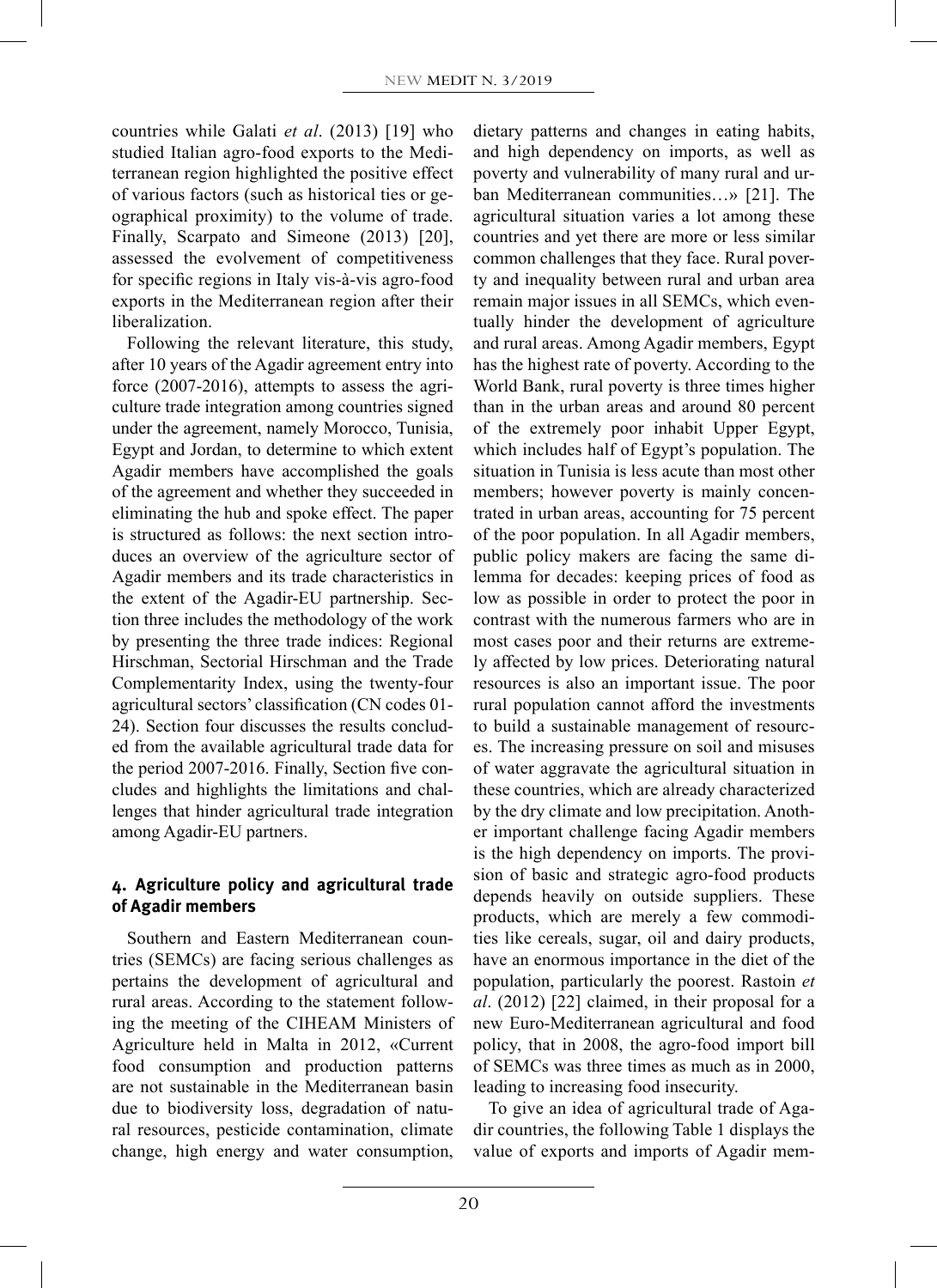countries while Galati *et al*. (2013) [19] who studied Italian agro-food exports to the Mediterranean region highlighted the positive effect of various factors (such as historical ties or geographical proximity) to the volume of trade. Finally, Scarpato and Simeone (2013) [20], assessed the evolvement of competitiveness for specific regions in Italy vis-à-vis agro-food exports in the Mediterranean region after their liberalization.

Following the relevant literature, this study, after 10 years of the Agadir agreement entry into force (2007-2016), attempts to assess the agriculture trade integration among countries signed under the agreement, namely Morocco, Tunisia, Egypt and Jordan, to determine to which extent Agadir members have accomplished the goals of the agreement and whether they succeeded in eliminating the hub and spoke effect. The paper is structured as follows: the next section introduces an overview of the agriculture sector of Agadir members and its trade characteristics in the extent of the Agadir-EU partnership. Section three includes the methodology of the work by presenting the three trade indices: Regional Hirschman, Sectorial Hirschman and the Trade Complementarity Index, using the twenty-four agricultural sectors' classification (CN codes 01- 24). Section four discusses the results concluded from the available agricultural trade data for the period 2007-2016. Finally, Section five concludes and highlights the limitations and challenges that hinder agricultural trade integration among Agadir-EU partners.

# **4. Agriculture policy and agricultural trade of Agadir members**

Southern and Eastern Mediterranean countries (SEMCs) are facing serious challenges as pertains the development of agricultural and rural areas. According to the statement following the meeting of the CIHEAM Ministers of Agriculture held in Malta in 2012, «Current food consumption and production patterns are not sustainable in the Mediterranean basin due to biodiversity loss, degradation of natural resources, pesticide contamination, climate change, high energy and water consumption,

dietary patterns and changes in eating habits, and high dependency on imports, as well as poverty and vulnerability of many rural and urban Mediterranean communities…» [21]. The agricultural situation varies a lot among these countries and yet there are more or less similar common challenges that they face. Rural poverty and inequality between rural and urban area remain major issues in all SEMCs, which eventually hinder the development of agriculture and rural areas. Among Agadir members, Egypt has the highest rate of poverty. According to the World Bank, rural poverty is three times higher than in the urban areas and around 80 percent of the extremely poor inhabit Upper Egypt, which includes half of Egypt's population. The situation in Tunisia is less acute than most other members; however poverty is mainly concentrated in urban areas, accounting for 75 percent of the poor population. In all Agadir members, public policy makers are facing the same dilemma for decades: keeping prices of food as low as possible in order to protect the poor in contrast with the numerous farmers who are in most cases poor and their returns are extremely affected by low prices. Deteriorating natural resources is also an important issue. The poor rural population cannot afford the investments to build a sustainable management of resources. The increasing pressure on soil and misuses of water aggravate the agricultural situation in these countries, which are already characterized by the dry climate and low precipitation. Another important challenge facing Agadir members is the high dependency on imports. The provision of basic and strategic agro-food products depends heavily on outside suppliers. These products, which are merely a few commodities like cereals, sugar, oil and dairy products, have an enormous importance in the diet of the population, particularly the poorest. Rastoin *et al*. (2012) [22] claimed, in their proposal for a new Euro-Mediterranean agricultural and food policy, that in 2008, the agro-food import bill of SEMCs was three times as much as in 2000, leading to increasing food insecurity.

To give an idea of agricultural trade of Agadir countries, the following Table 1 displays the value of exports and imports of Agadir mem-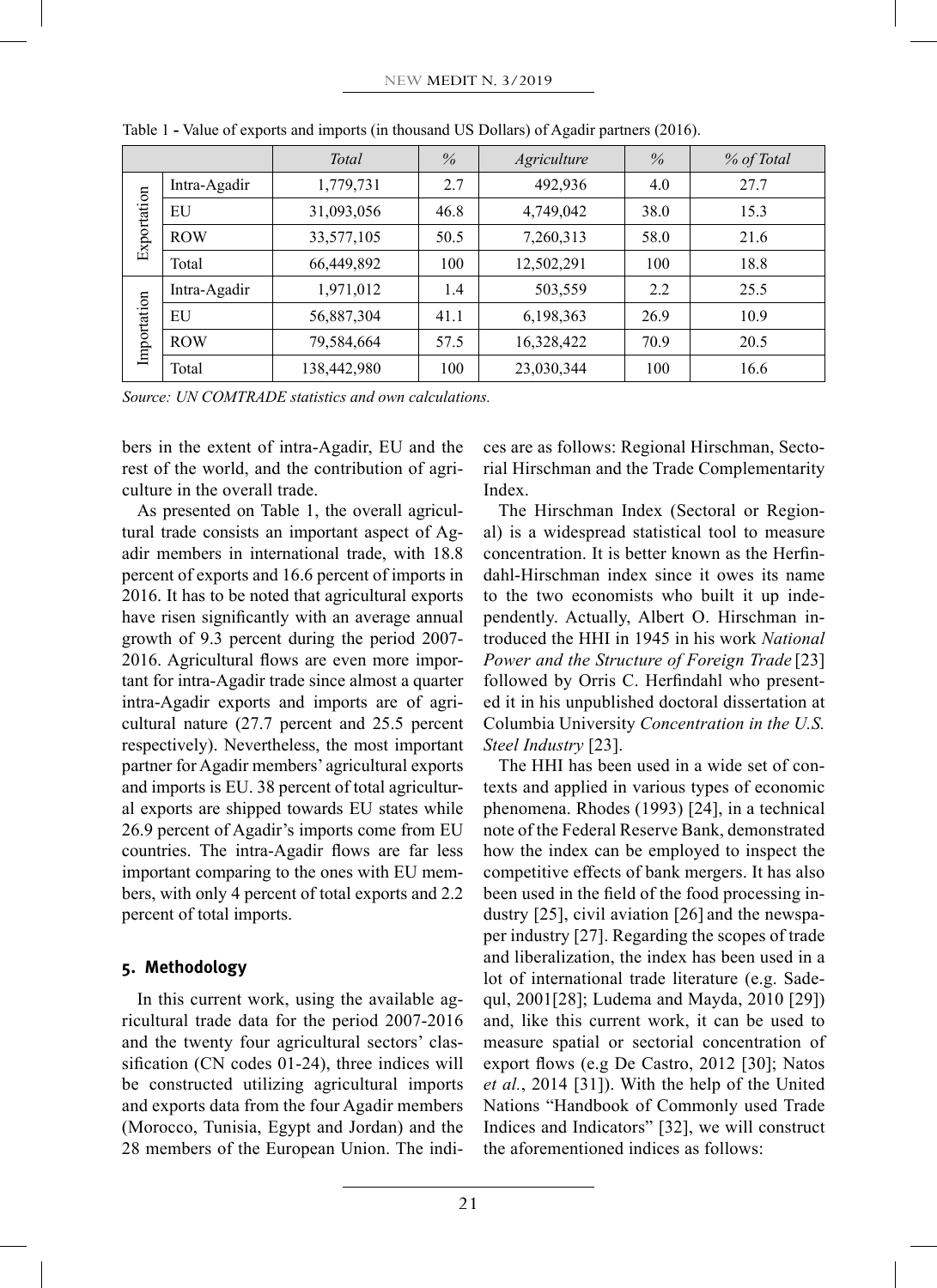|             |              | <b>Total</b> | $\%$ | Agriculture | $\%$ | % of Total |
|-------------|--------------|--------------|------|-------------|------|------------|
| Exportation | Intra-Agadir | 1,779,731    | 2.7  | 492,936     | 4.0  | 27.7       |
|             | EU           | 31,093,056   | 46.8 | 4,749,042   | 38.0 | 15.3       |
|             | <b>ROW</b>   | 33,577,105   | 50.5 | 7,260,313   | 58.0 | 21.6       |
|             | Total        | 66,449,892   | 100  | 12,502,291  | 100  | 18.8       |
| Importation | Intra-Agadir | 1,971,012    | 1.4  | 503,559     | 2.2  | 25.5       |
|             | EU           | 56,887,304   | 41.1 | 6,198,363   | 26.9 | 10.9       |
|             | <b>ROW</b>   | 79,584,664   | 57.5 | 16,328,422  | 70.9 | 20.5       |
|             | Total        | 138,442,980  | 100  | 23,030,344  | 100  | 16.6       |

Table 1 **-** Value of exports and imports (in thousand US Dollars) of Agadir partners (2016).

*Source: UN COMTRADE statistics and own calculations.*

bers in the extent of intra-Agadir, EU and the rest of the world, and the contribution of agriculture in the overall trade.

As presented on Table 1, the overall agricultural trade consists an important aspect of Agadir members in international trade, with 18.8 percent of exports and 16.6 percent of imports in 2016. It has to be noted that agricultural exports have risen significantly with an average annual growth of 9.3 percent during the period 2007- 2016. Agricultural flows are even more important for intra-Agadir trade since almost a quarter intra-Agadir exports and imports are of agricultural nature (27.7 percent and 25.5 percent respectively). Nevertheless, the most important partner for Agadir members' agricultural exports and imports is EU. 38 percent of total agricultural exports are shipped towards EU states while 26.9 percent of Agadir's imports come from EU countries. The intra-Agadir flows are far less important comparing to the ones with EU members, with only 4 percent of total exports and 2.2 percent of total imports.

## **5. Methodology**

In this current work, using the available agricultural trade data for the period 2007-2016 and the twenty four agricultural sectors' classification (CN codes 01-24), three indices will be constructed utilizing agricultural imports and exports data from the four Agadir members (Morocco, Tunisia, Egypt and Jordan) and the 28 members of the European Union. The indices are as follows: Regional Hirschman, Sectorial Hirschman and the Trade Complementarity Index.

The Hirschman Index (Sectoral or Regional) is a widespread statistical tool to measure concentration. It is better known as the Herfindahl-Hirschman index since it owes its name to the two economists who built it up independently. Actually, Albert O. Hirschman introduced the HHI in 1945 in his work *National Power and the Structure of Foreign Trade* [23] followed by Orris C. Herfindahl who presented it in his unpublished doctoral dissertation at Columbia University *Concentration in the U.S. Steel Industry* [23].

The HHI has been used in a wide set of contexts and applied in various types of economic phenomena. Rhodes (1993) [24], in a technical note of the Federal Reserve Bank, demonstrated how the index can be employed to inspect the competitive effects of bank mergers. It has also been used in the field of the food processing industry [25], civil aviation [26] and the newspaper industry [27]. Regarding the scopes of trade and liberalization, the index has been used in a lot of international trade literature (e.g. Sadequl, 2001[28]; Ludema and Mayda, 2010 [29]) and, like this current work, it can be used to measure spatial or sectorial concentration of export flows (e.g De Castro, 2012 [30]; Natos *et al.*, 2014 [31]). With the help of the United Nations "Handbook of Commonly used Trade Indices and Indicators" [32], we will construct the aforementioned indices as follows: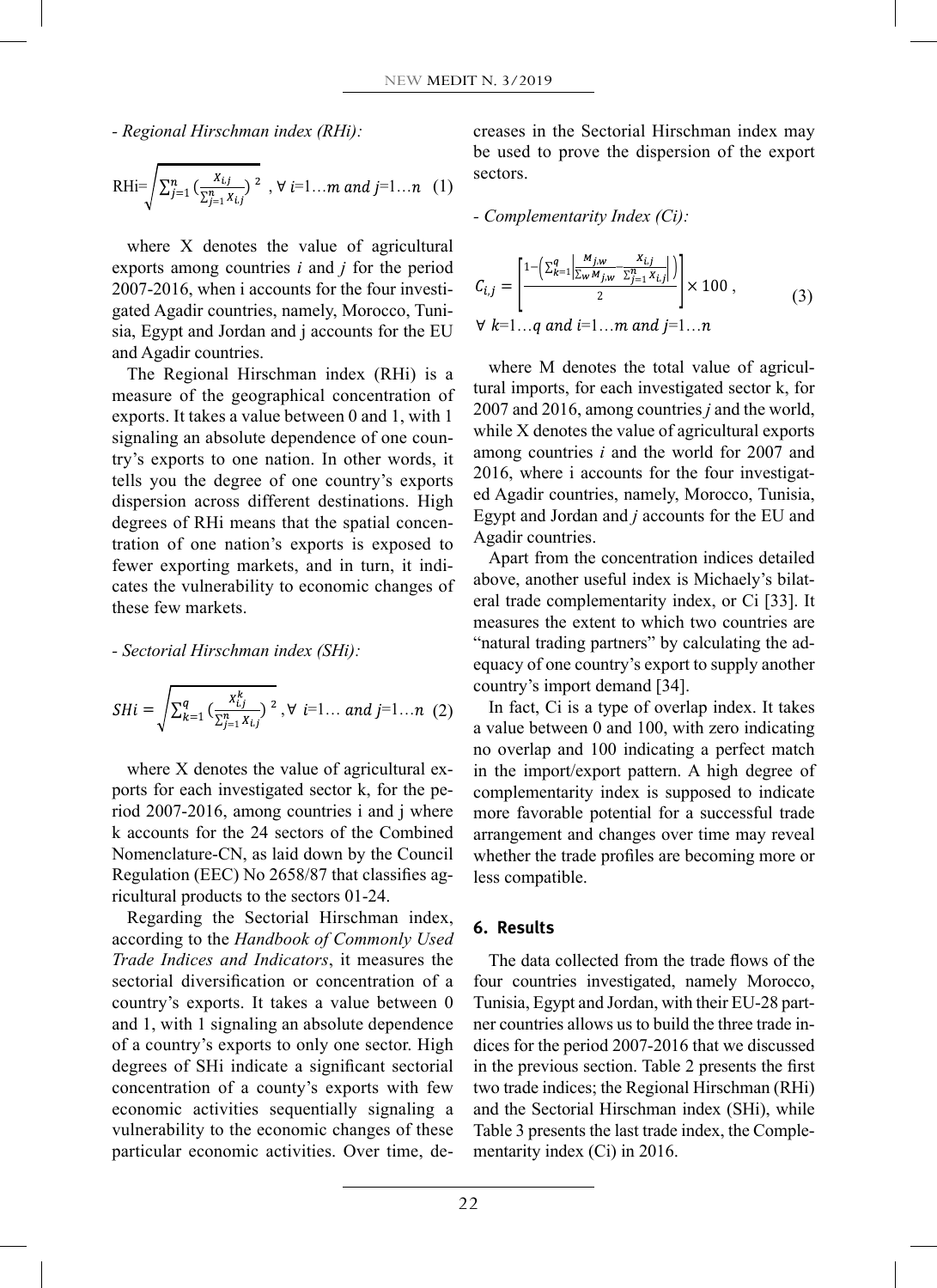*- Regional Hirschman index (RHi):*

$$
\text{RHi} = \sqrt{\sum_{j=1}^{n} \left( \frac{x_{i,j}}{\sum_{j=1}^{n} x_{i,j}} \right)^2}, \forall i=1...m \text{ and } j=1...n \quad (1) \quad \text{sectors.}
$$

2007-2016, when i accounts for the four investi-  $C_{i,j} =$ 2007-2016, when I accounts for the four investigated Agadir countries, namely, Morocco, Tuni-<br>sia, Egypt and Jordan and j accounts for the EU  $\forall k=1...q$  a where X denotes the value of agricultural exports among countries *i* and *j* for the period  $\sin A$ , Egypt and Jordan and j accounts for the EU and Agadir countries.

The Regional<br>measure of the<br>exports. It takes exports. It takes a value between 0 and 1, with 1  $\frac{2007 \text{ and } 201}{1000 \text{ and } 201}$ degrees of RHi means that the spatial concencates the vulnerability to economic changes of The Regional Hirschman index (RHi) is a when  $\frac{w}{p}$ The Regional Hirschman index  $(KH)$  is a<br>measure of the geographical concentration of  $\frac{\text{true}}{200}$ exports. It takes a value between 0 and 1, with 1<br>signaling an absolute dependence of one country's exports to one nation. In other words, it tells you the degree of one country's exports dispersion across different destinations. High ed Agadir countries, ha tration of one nation's exports is exposed to fewer exporting markets, and in turn, it indi-<br>  $\frac{1}{2}$  Apart from the concentral these few markets.  $R_{\text{max}}$  and trade c<br>measures the measures the measures the measures the measures the measures the measures the measures the measures the measures of  $\frac{1}{2}$ .

## - Sectorial Hirschman index (SHi):  $\mu$ .

$$
SHi = \sqrt{\sum_{k=1}^{q} \left( \frac{x_{i,j}^k}{\sum_{j=1}^{n} x_{i,j}} \right)^2}, \forall i=1... \text{ and } j=1...n \text{ (2)}
$$

ports for each investigated sector k, for the pe-<br>complementarity where X denotes the value of agricultural exports for each 1<br>
fiod 2007-2016<br>
k accounts for Fromenciature-Civ, as faid down by the Council<br>Regulation (EEC) No 2658/87 that classifies ag-<sup>1</sup>/<sub>2007</sub>-2010, allong countries and j where the ravorate hole ravorate arrangement riod 2007-2016, among countries i and j where Nomenclature-CN, as laid down by the Council whether the tr ricultural products to the sectors 01-24.

according to the *Handbook of Commonly Used* sectional diversification of concentration of a<br>country's exports. It takes a value between 0 and 1, with  $1$  signaling an absolute dependence economic activities sequentially signaling a *value ability* to the economic entanges of these particular economic activities. Over time, deof a country's exports to only one sector. High of a country's exports to only one sector. High  $1 1 -$ Regarding the Sectorial Hirschman index,  $\boldsymbol{6}$ . Results *Trade Indices and Indicators*, it measures the sectorial diversification or concentration of a degrees of SHi indicate a significant sectorial in concentration of a county's exports with few two vulnerability to the economic changes of these

creases in the Sectorial Hirschman index may be used to prove the dispersion of the export  $\text{sectors.}$  sectors.

*- Complementarity Index (Ci):* ) =1 ² , =1… =1… (2) ∀

$$
\text{...} \quad \text{...} \quad C_{i,j} = \left[ \frac{1 - \left( \sum_{k=1}^{q} \left| \frac{M_{j,w}}{\sum_{w} M_{j,w}} \frac{X_{i,j}}{\sum_{j=1}^{n} X_{i,j}} \right| \right)}{2} \right] \times 100 \,, \tag{3} \quad \text{(3)}
$$
\n
$$
\text{...} \quad \forall \ k=1...q \text{ and } i=1...m \text{ and } j=1...n \quad \text{(3)}
$$

)1()1( ( )12 *<sup>N</sup> pp <sup>P</sup>* <sup>−</sup> <sup>−</sup> tural imports, for each investigated sector k, for where M denotes the total value of agricul- (1) 2007 and 2016, among countries *j* and the world, among countries *i* and the world for 2007 and Egypt and Jordan and *j* accounts for the EU and while X denotes the value of agricultural exports 2016, where i accounts for the four investigated Agadir countries, namely, Morocco, Tunisia, Agadir countries.

measures the extent to which two countries are 1 1 eral trade complementarity index, or Ci [33]. It measures the extent to which two countries are<br>"natural trading partners" by calculating the adequacy of one country's export to supply another country's import demand [34]. Apart from the concentration indices detailed above, another useful index is Michaely's bilat-

a value between 0 and 100, with zero indicating a value between 6 and 100, while zero multiaing<br>no overlap and 100 indicating a perfect match  $_{-1}$  $\left(\frac{x_{i,j}}{\sum_{i=1}^{n} X_{i,j}}\right)^2$ ,  $\forall i=1...$  and  $j=1...n$  (2) In fact, Ci is a type of overlap index. It takes more favorable potential for a successful trade less compatible. in the import/export pattern. A high degree of complementarity index is supposed to indicate arrangement and changes over time may reveal whether the trade profiles are becoming more or

## **6. Results**

Table 3 presents the last trade index, the Comple- $\text{1} \cdot \text{1} \cdot \text{2016}.$ Tunisia, Egypt and Jordan, with their EU-28 partner countries allows us to build the three trade indices for the period 2007-2016 that we discussed<br>in the previous section. Table 2 presents the first two trade indices; the Regional Hirschman (RHi) The data collected from the trade flows of the four countries investigated, namely Morocco, dices for the period 2007-2016 that we discussed and the Sectorial Hirschman index (SHi), while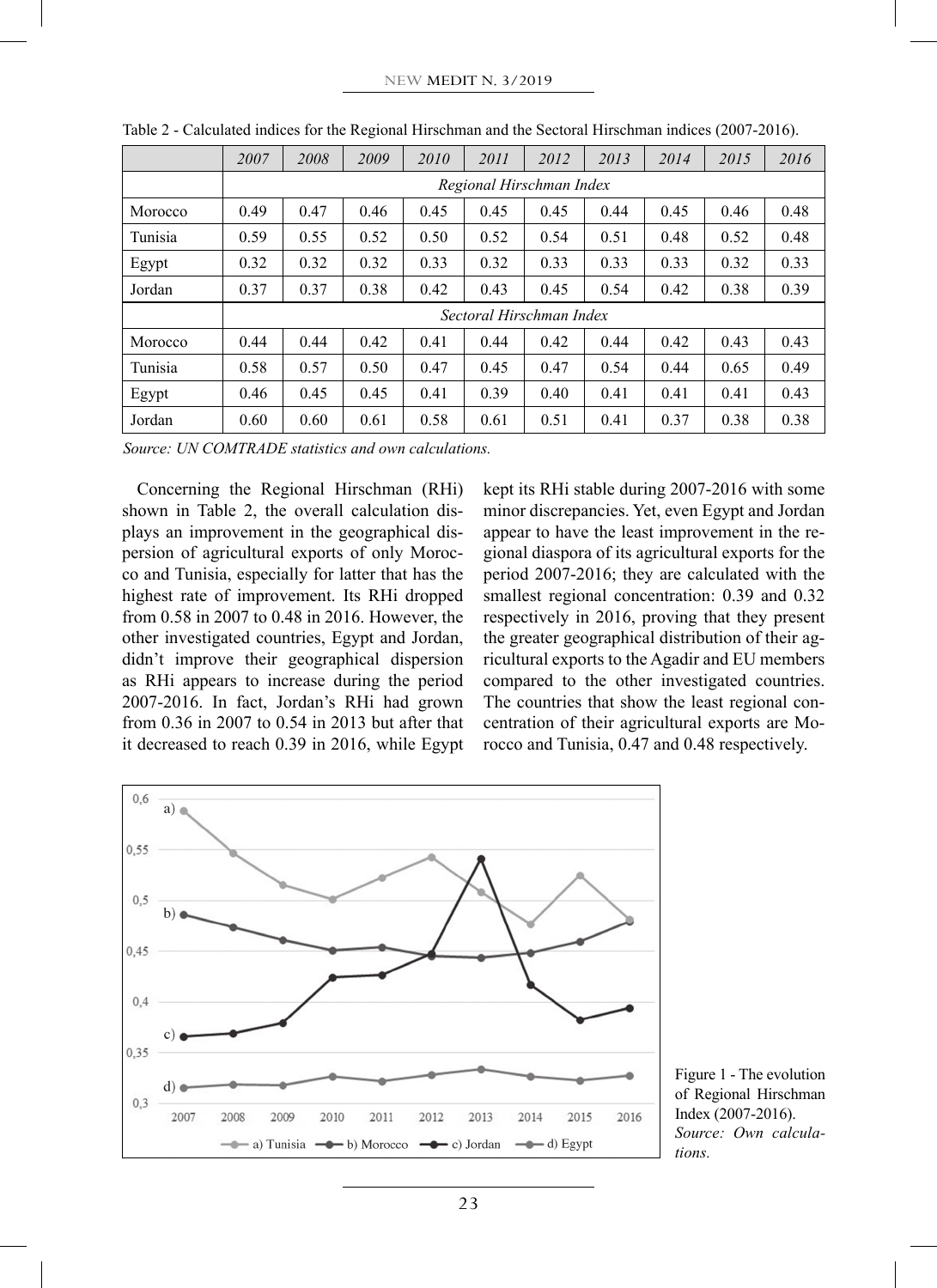|         | 2007                     | 2008                     | 2009 | 2010 | 2011 | 2012 | 2013 | 2014 | 2015 | 2016 |
|---------|--------------------------|--------------------------|------|------|------|------|------|------|------|------|
|         | Regional Hirschman Index |                          |      |      |      |      |      |      |      |      |
| Morocco | 0.49                     | 0.47                     | 0.46 | 0.45 | 0.45 | 0.45 | 0.44 | 0.45 | 0.46 | 0.48 |
| Tunisia | 0.59                     | 0.55                     | 0.52 | 0.50 | 0.52 | 0.54 | 0.51 | 0.48 | 0.52 | 0.48 |
| Egypt   | 0.32                     | 0.32                     | 0.32 | 0.33 | 0.32 | 0.33 | 0.33 | 0.33 | 0.32 | 0.33 |
| Jordan  | 0.37                     | 0.37                     | 0.38 | 0.42 | 0.43 | 0.45 | 0.54 | 0.42 | 0.38 | 0.39 |
|         |                          | Sectoral Hirschman Index |      |      |      |      |      |      |      |      |
| Morocco | 0.44                     | 0.44                     | 0.42 | 0.41 | 0.44 | 0.42 | 0.44 | 0.42 | 0.43 | 0.43 |
| Tunisia | 0.58                     | 0.57                     | 0.50 | 0.47 | 0.45 | 0.47 | 0.54 | 0.44 | 0.65 | 0.49 |
| Egypt   | 0.46                     | 0.45                     | 0.45 | 0.41 | 0.39 | 0.40 | 0.41 | 0.41 | 0.41 | 0.43 |
| Jordan  | 0.60                     | 0.60                     | 0.61 | 0.58 | 0.61 | 0.51 | 0.41 | 0.37 | 0.38 | 0.38 |

Table 2 - Calculated indices for the Regional Hirschman and the Sectoral Hirschman indices (2007-2016).

*Source: UN COMTRADE statistics and own calculations.*

Concerning the Regional Hirschman (RHi) shown in Table 2, the overall calculation displays an improvement in the geographical dispersion of agricultural exports of only Morocco and Tunisia, especially for latter that has the highest rate of improvement. Its RHi dropped from 0.58 in 2007 to 0.48 in 2016. However, the other investigated countries, Egypt and Jordan, didn't improve their geographical dispersion as RHi appears to increase during the period 2007-2016. In fact, Jordan's RHi had grown from 0.36 in 2007 to 0.54 in 2013 but after that it decreased to reach 0.39 in 2016, while Egypt

kept its RHi stable during 2007-2016 with some minor discrepancies. Yet, even Egypt and Jordan appear to have the least improvement in the regional diaspora of its agricultural exports for the period 2007-2016; they are calculated with the smallest regional concentration: 0.39 and 0.32 respectively in 2016, proving that they present the greater geographical distribution of their agricultural exports to the Agadir and EU members compared to the other investigated countries. The countries that show the least regional concentration of their agricultural exports are Morocco and Tunisia, 0.47 and 0.48 respectively.



Figure 1 - The evolution of Regional Hirschman Index (2007-2016). *Source: Own calculations.*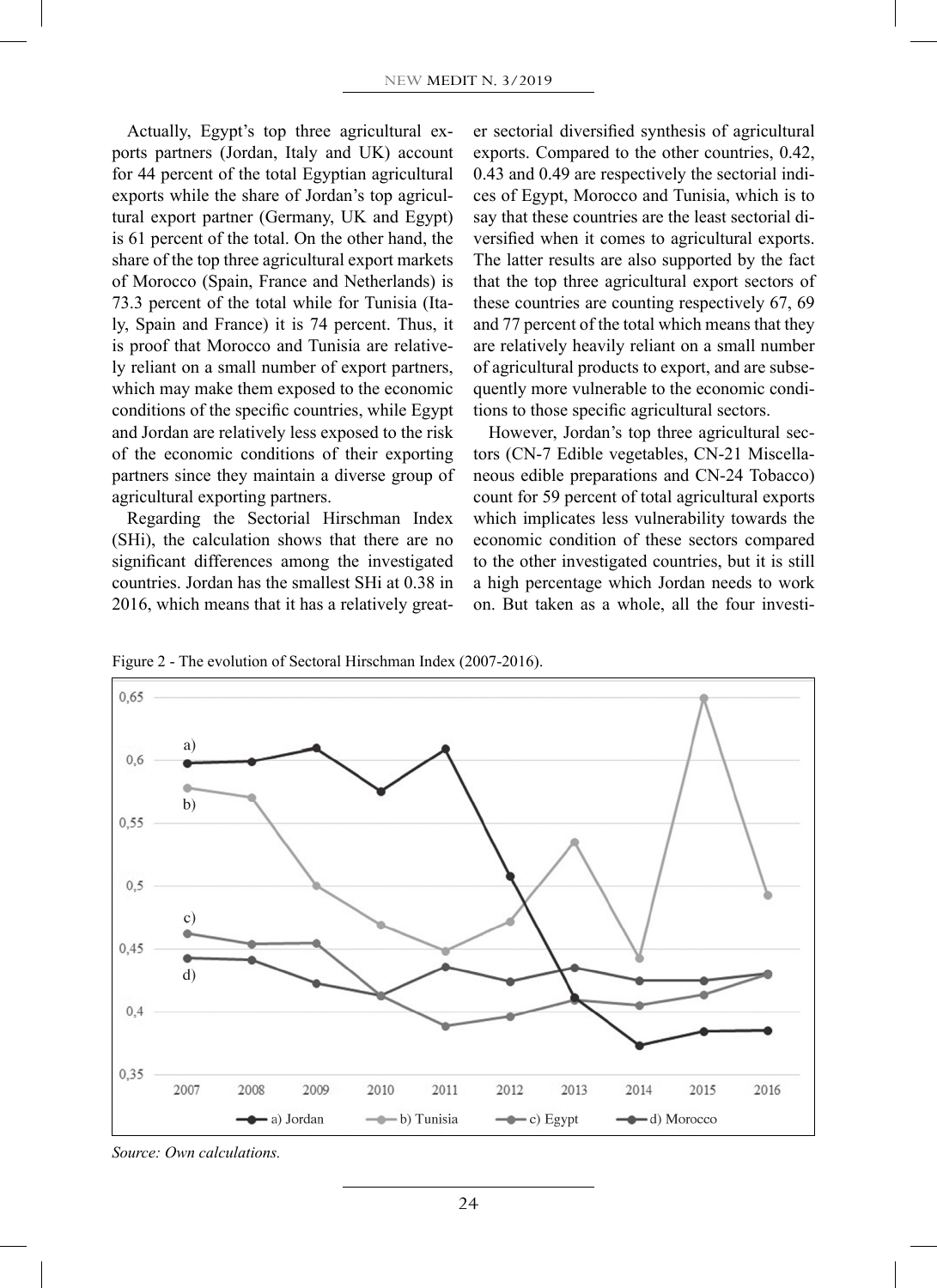Actually, Egypt's top three agricultural exports partners (Jordan, Italy and UK) account for 44 percent of the total Egyptian agricultural exports while the share of Jordan's top agricultural export partner (Germany, UK and Egypt) is 61 percent of the total. On the other hand, the share of the top three agricultural export markets of Morocco (Spain, France and Netherlands) is 73.3 percent of the total while for Tunisia (Italy, Spain and France) it is 74 percent. Thus, it is proof that Morocco and Tunisia are relatively reliant on a small number of export partners, which may make them exposed to the economic conditions of the specific countries, while Egypt and Jordan are relatively less exposed to the risk of the economic conditions of their exporting partners since they maintain a diverse group of agricultural exporting partners.

Regarding the Sectorial Hirschman Index (SHi), the calculation shows that there are no significant differences among the investigated countries. Jordan has the smallest SHi at 0.38 in 2016, which means that it has a relatively great-

er sectorial diversified synthesis of agricultural exports. Compared to the other countries, 0.42, 0.43 and 0.49 are respectively the sectorial indices of Egypt, Morocco and Tunisia, which is to say that these countries are the least sectorial diversified when it comes to agricultural exports. The latter results are also supported by the fact that the top three agricultural export sectors of these countries are counting respectively 67, 69 and 77 percent of the total which means that they are relatively heavily reliant on a small number of agricultural products to export, and are subsequently more vulnerable to the economic conditions to those specific agricultural sectors.

However, Jordan's top three agricultural sectors (CN-7 Edible vegetables, CN-21 Miscellaneous edible preparations and CN-24 Tobacco) count for 59 percent of total agricultural exports which implicates less vulnerability towards the economic condition of these sectors compared to the other investigated countries, but it is still a high percentage which Jordan needs to work on. But taken as a whole, all the four investi-

Figure 2 - The evolution of Sectoral Hirschman Index (2007-2016).



*Source: Own calculations.*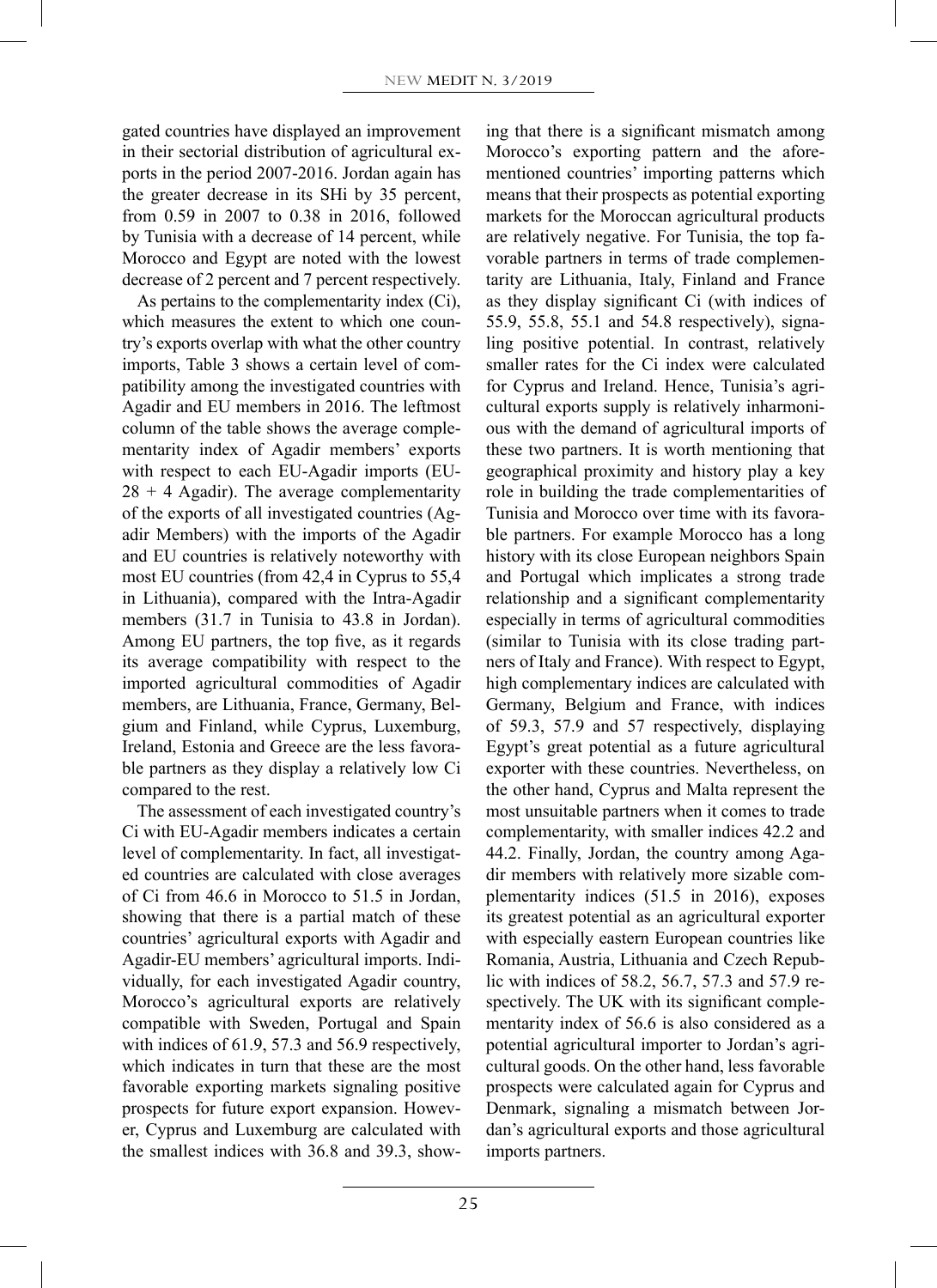gated countries have displayed an improvement in their sectorial distribution of agricultural exports in the period 2007-2016. Jordan again has the greater decrease in its SHi by 35 percent, from 0.59 in 2007 to 0.38 in 2016, followed by Tunisia with a decrease of 14 percent, while Morocco and Egypt are noted with the lowest decrease of 2 percent and 7 percent respectively.

As pertains to the complementarity index (Ci), which measures the extent to which one country's exports overlap with what the other country imports, Table 3 shows a certain level of compatibility among the investigated countries with Agadir and EU members in 2016. The leftmost column of the table shows the average complementarity index of Agadir members' exports with respect to each EU-Agadir imports (EU- $28 + 4$  Agadir). The average complementarity of the exports of all investigated countries (Agadir Members) with the imports of the Agadir and EU countries is relatively noteworthy with most EU countries (from 42,4 in Cyprus to 55,4 in Lithuania), compared with the Intra-Agadir members (31.7 in Tunisia to 43.8 in Jordan). Among EU partners, the top five, as it regards its average compatibility with respect to the imported agricultural commodities of Agadir members, are Lithuania, France, Germany, Belgium and Finland, while Cyprus, Luxemburg, Ireland, Estonia and Greece are the less favorable partners as they display a relatively low Ci compared to the rest.

The assessment of each investigated country's Ci with EU-Agadir members indicates a certain level of complementarity. In fact, all investigated countries are calculated with close averages of Ci from 46.6 in Morocco to 51.5 in Jordan, showing that there is a partial match of these countries' agricultural exports with Agadir and Agadir-EU members' agricultural imports. Individually, for each investigated Agadir country, Morocco's agricultural exports are relatively compatible with Sweden, Portugal and Spain with indices of 61.9, 57.3 and 56.9 respectively, which indicates in turn that these are the most favorable exporting markets signaling positive prospects for future export expansion. However, Cyprus and Luxemburg are calculated with the smallest indices with 36.8 and 39.3, show-

ing that there is a significant mismatch among Morocco's exporting pattern and the aforementioned countries' importing patterns which means that their prospects as potential exporting markets for the Moroccan agricultural products are relatively negative. For Tunisia, the top favorable partners in terms of trade complementarity are Lithuania, Italy, Finland and France as they display significant Ci (with indices of 55.9, 55.8, 55.1 and 54.8 respectively), signaling positive potential. In contrast, relatively smaller rates for the Ci index were calculated for Cyprus and Ireland. Hence, Tunisia's agricultural exports supply is relatively inharmonious with the demand of agricultural imports of these two partners. It is worth mentioning that geographical proximity and history play a key role in building the trade complementarities of Tunisia and Morocco over time with its favorable partners. For example Morocco has a long history with its close European neighbors Spain and Portugal which implicates a strong trade relationship and a significant complementarity especially in terms of agricultural commodities (similar to Tunisia with its close trading partners of Italy and France). With respect to Egypt, high complementary indices are calculated with Germany, Belgium and France, with indices of 59.3, 57.9 and 57 respectively, displaying Egypt's great potential as a future agricultural exporter with these countries. Nevertheless, on the other hand, Cyprus and Malta represent the most unsuitable partners when it comes to trade complementarity, with smaller indices 42.2 and 44.2. Finally, Jordan, the country among Agadir members with relatively more sizable complementarity indices (51.5 in 2016), exposes its greatest potential as an agricultural exporter with especially eastern European countries like Romania, Austria, Lithuania and Czech Republic with indices of 58.2, 56.7, 57.3 and 57.9 respectively. The UK with its significant complementarity index of 56.6 is also considered as a potential agricultural importer to Jordan's agricultural goods. On the other hand, less favorable prospects were calculated again for Cyprus and Denmark, signaling a mismatch between Jordan's agricultural exports and those agricultural imports partners.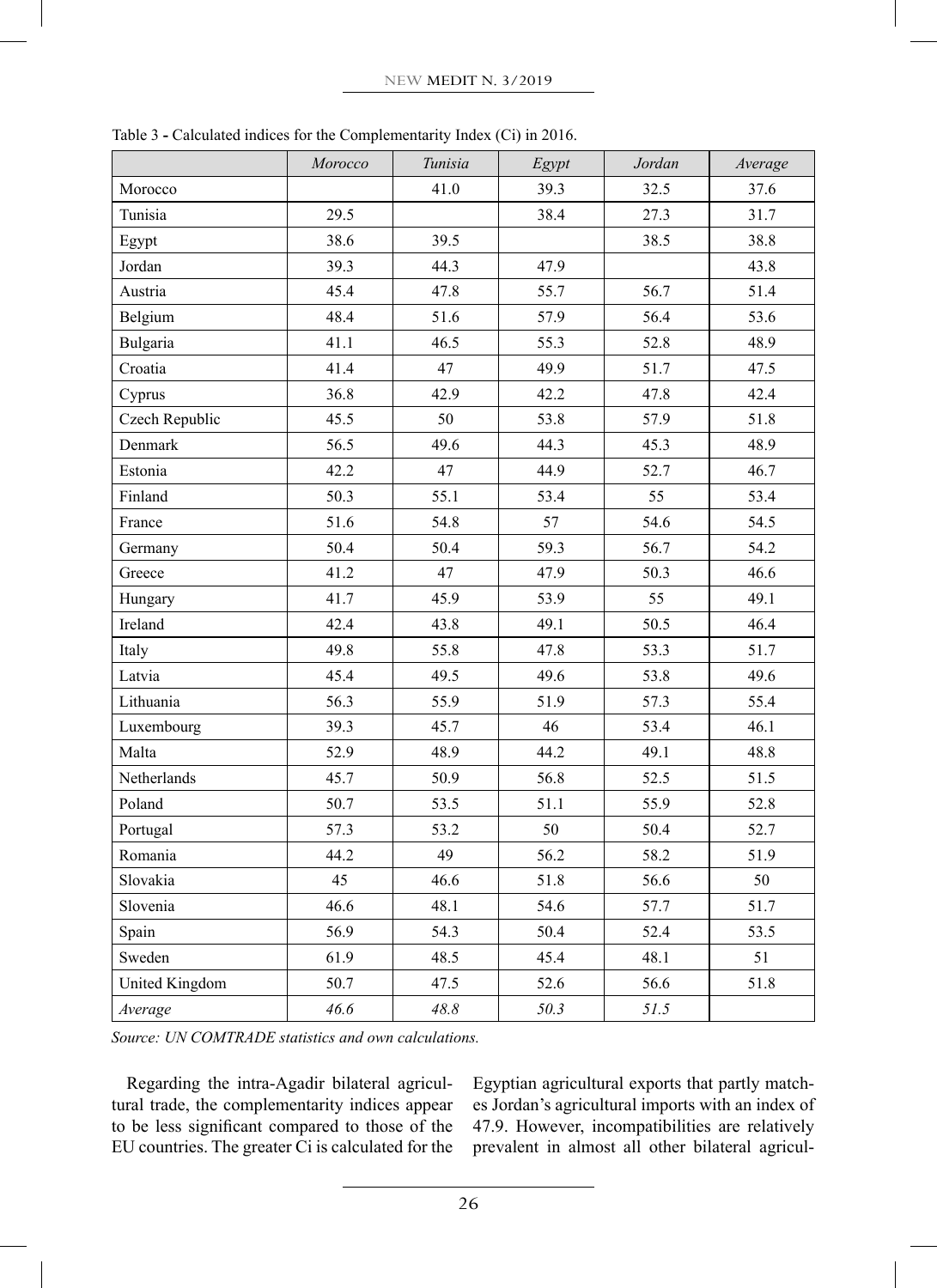|                       | Morocco | Tunisia | Egypt | Jordan | Average |
|-----------------------|---------|---------|-------|--------|---------|
| Morocco               |         | 41.0    | 39.3  | 32.5   | 37.6    |
| Tunisia               | 29.5    |         | 38.4  | 27.3   | 31.7    |
| Egypt                 | 38.6    | 39.5    |       | 38.5   | 38.8    |
| Jordan                | 39.3    | 44.3    | 47.9  |        | 43.8    |
| Austria               | 45.4    | 47.8    | 55.7  | 56.7   | 51.4    |
| Belgium               | 48.4    | 51.6    | 57.9  | 56.4   | 53.6    |
| Bulgaria              | 41.1    | 46.5    | 55.3  | 52.8   | 48.9    |
| Croatia               | 41.4    | 47      | 49.9  | 51.7   | 47.5    |
| Cyprus                | 36.8    | 42.9    | 42.2  | 47.8   | 42.4    |
| Czech Republic        | 45.5    | 50      | 53.8  | 57.9   | 51.8    |
| Denmark               | 56.5    | 49.6    | 44.3  | 45.3   | 48.9    |
| Estonia               | 42.2    | 47      | 44.9  | 52.7   | 46.7    |
| Finland               | 50.3    | 55.1    | 53.4  | 55     | 53.4    |
| France                | 51.6    | 54.8    | 57    | 54.6   | 54.5    |
| Germany               | 50.4    | 50.4    | 59.3  | 56.7   | 54.2    |
| Greece                | 41.2    | 47      | 47.9  | 50.3   | 46.6    |
| Hungary               | 41.7    | 45.9    | 53.9  | 55     | 49.1    |
| Ireland               | 42.4    | 43.8    | 49.1  | 50.5   | 46.4    |
| Italy                 | 49.8    | 55.8    | 47.8  | 53.3   | 51.7    |
| Latvia                | 45.4    | 49.5    | 49.6  | 53.8   | 49.6    |
| Lithuania             | 56.3    | 55.9    | 51.9  | 57.3   | 55.4    |
| Luxembourg            | 39.3    | 45.7    | 46    | 53.4   | 46.1    |
| Malta                 | 52.9    | 48.9    | 44.2  | 49.1   | 48.8    |
| Netherlands           | 45.7    | 50.9    | 56.8  | 52.5   | 51.5    |
| Poland                | 50.7    | 53.5    | 51.1  | 55.9   | 52.8    |
| Portugal              | 57.3    | 53.2    | 50    | 50.4   | 52.7    |
| Romania               | 44.2    | 49      | 56.2  | 58.2   | 51.9    |
| Slovakia              | 45      | 46.6    | 51.8  | 56.6   | 50      |
| Slovenia              | 46.6    | 48.1    | 54.6  | 57.7   | 51.7    |
| Spain                 | 56.9    | 54.3    | 50.4  | 52.4   | 53.5    |
| Sweden                | 61.9    | 48.5    | 45.4  | 48.1   | 51      |
| <b>United Kingdom</b> | 50.7    | 47.5    | 52.6  | 56.6   | 51.8    |
| Average               | 46.6    | 48.8    | 50.3  | 51.5   |         |

Table 3 **-** Calculated indices for the Complementarity Index (Ci) in 2016.

*Source: UN COMTRADE statistics and own calculations.*

Regarding the intra-Agadir bilateral agricultural trade, the complementarity indices appear to be less significant compared to those of the EU countries. The greater Ci is calculated for the Egyptian agricultural exports that partly matches Jordan's agricultural imports with an index of 47.9. However, incompatibilities are relatively prevalent in almost all other bilateral agricul-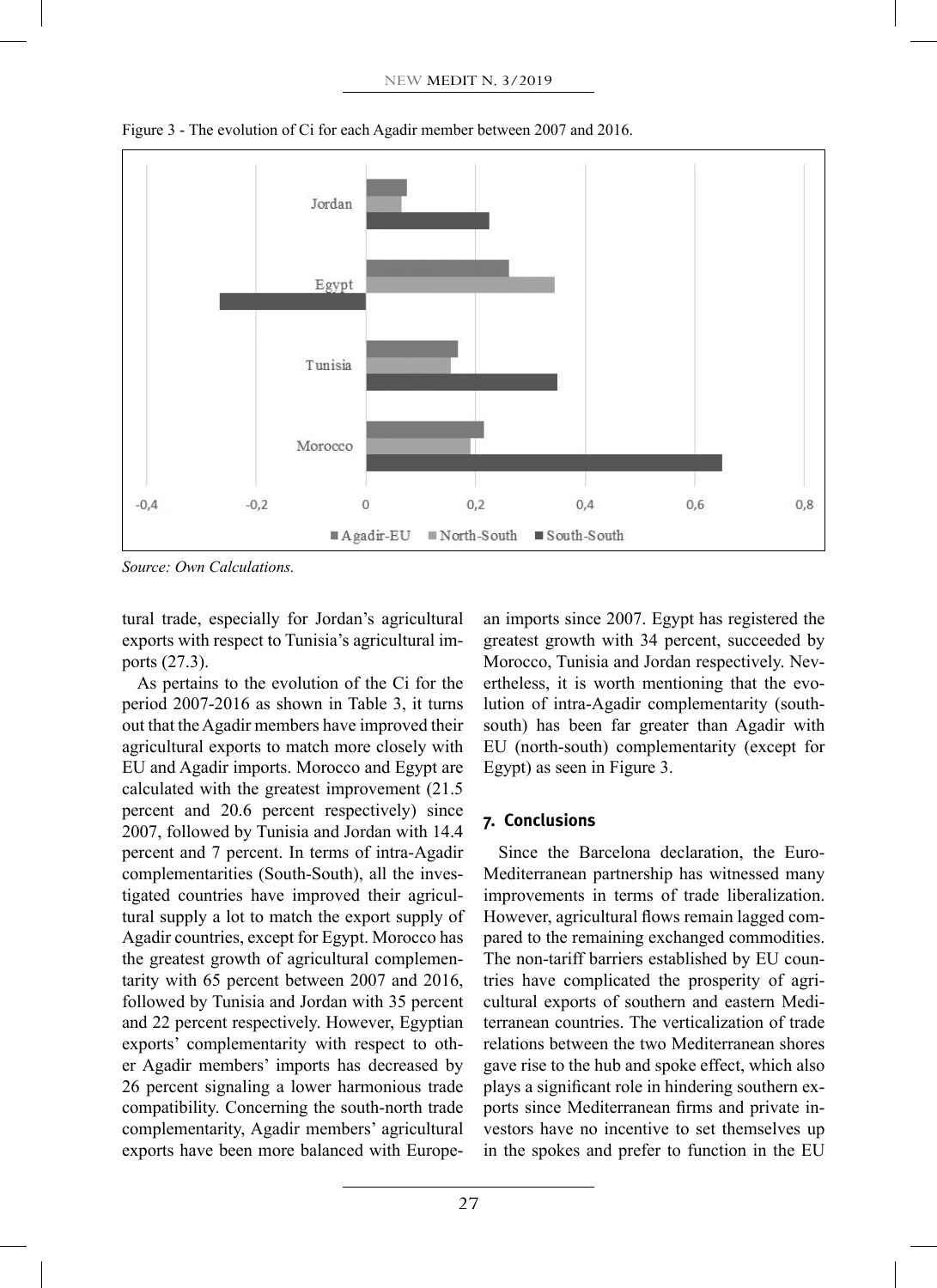

Figure 3 - The evolution of Ci for each Agadir member between 2007 and 2016.

*Source: Own Calculations.*

tural trade, especially for Jordan's agricultural exports with respect to Tunisia's agricultural imports (27.3).

As pertains to the evolution of the Ci for the period 2007-2016 as shown in Table 3, it turns out that the Agadir members have improved their agricultural exports to match more closely with EU and Agadir imports. Morocco and Egypt are calculated with the greatest improvement (21.5 percent and 20.6 percent respectively) since 2007, followed by Tunisia and Jordan with 14.4 percent and 7 percent. In terms of intra-Agadir complementarities (South-South), all the investigated countries have improved their agricultural supply a lot to match the export supply of Agadir countries, except for Egypt. Morocco has the greatest growth of agricultural complementarity with 65 percent between 2007 and 2016, followed by Tunisia and Jordan with 35 percent and 22 percent respectively. However, Egyptian exports' complementarity with respect to other Agadir members' imports has decreased by 26 percent signaling a lower harmonious trade compatibility. Concerning the south-north trade complementarity, Agadir members' agricultural exports have been more balanced with European imports since 2007. Egypt has registered the greatest growth with 34 percent, succeeded by Morocco, Tunisia and Jordan respectively. Nevertheless, it is worth mentioning that the evolution of intra-Agadir complementarity (southsouth) has been far greater than Agadir with EU (north-south) complementarity (except for Egypt) as seen in Figure 3.

## **7. Conclusions**

Since the Barcelona declaration, the Euro-Mediterranean partnership has witnessed many improvements in terms of trade liberalization. However, agricultural flows remain lagged compared to the remaining exchanged commodities. The non-tariff barriers established by EU countries have complicated the prosperity of agricultural exports of southern and eastern Mediterranean countries. The verticalization of trade relations between the two Mediterranean shores gave rise to the hub and spoke effect, which also plays a significant role in hindering southern exports since Mediterranean firms and private investors have no incentive to set themselves up in the spokes and prefer to function in the EU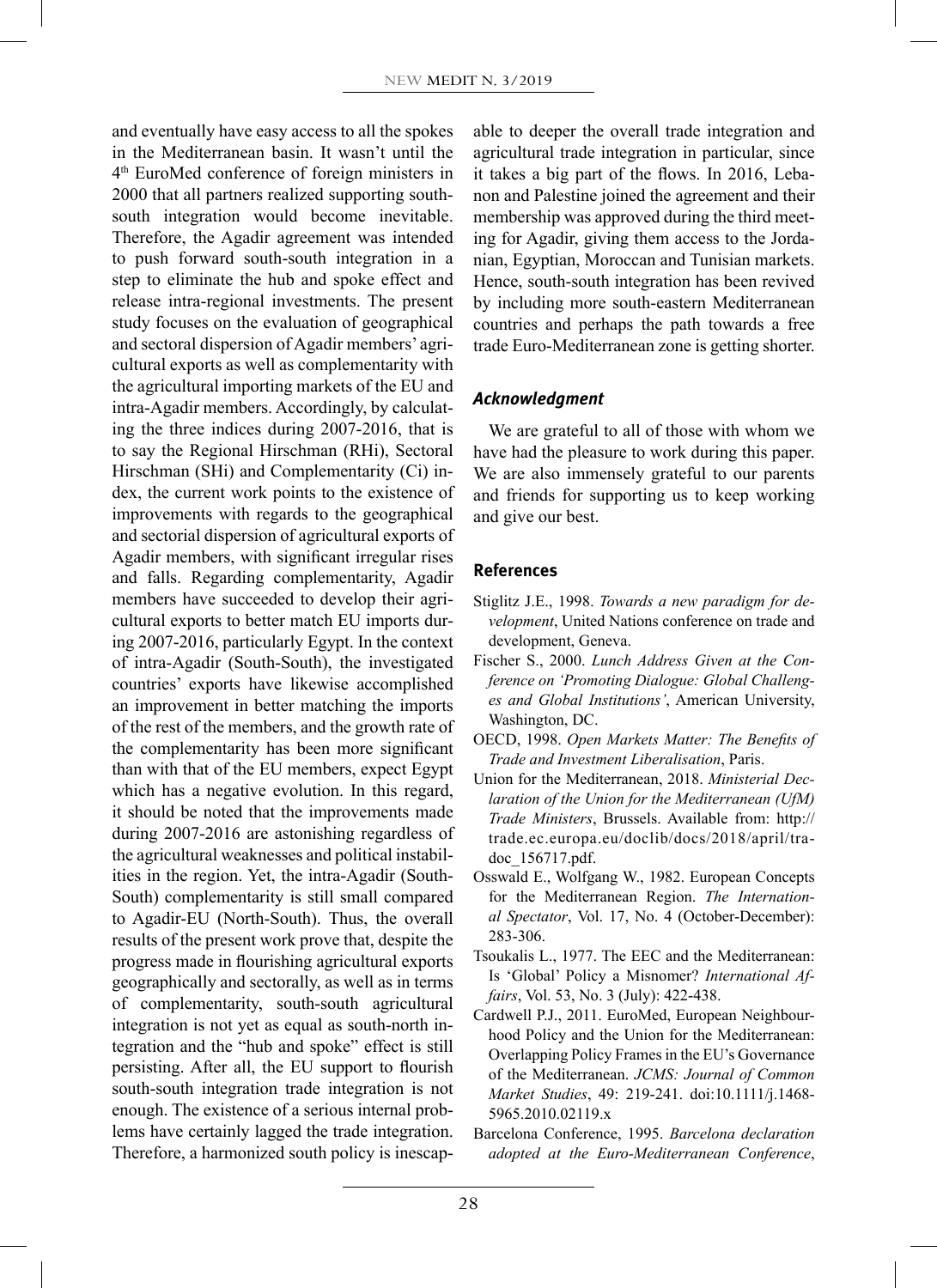and eventually have easy access to all the spokes in the Mediterranean basin. It wasn't until the 4th EuroMed conference of foreign ministers in 2000 that all partners realized supporting southsouth integration would become inevitable. Therefore, the Agadir agreement was intended to push forward south-south integration in a step to eliminate the hub and spoke effect and release intra-regional investments. The present study focuses on the evaluation of geographical and sectoral dispersion of Agadir members' agricultural exports as well as complementarity with the agricultural importing markets of the EU and intra-Agadir members. Accordingly, by calculating the three indices during 2007-2016, that is to say the Regional Hirschman (RHi), Sectoral Hirschman (SHi) and Complementarity (Ci) index, the current work points to the existence of improvements with regards to the geographical and sectorial dispersion of agricultural exports of Agadir members, with significant irregular rises and falls. Regarding complementarity, Agadir members have succeeded to develop their agricultural exports to better match EU imports during 2007-2016, particularly Egypt. In the context of intra-Agadir (South-South), the investigated countries' exports have likewise accomplished an improvement in better matching the imports of the rest of the members, and the growth rate of the complementarity has been more significant than with that of the EU members, expect Egypt which has a negative evolution. In this regard, it should be noted that the improvements made during 2007-2016 are astonishing regardless of the agricultural weaknesses and political instabilities in the region. Yet, the intra-Agadir (South-South) complementarity is still small compared to Agadir-EU (North-South). Thus, the overall results of the present work prove that, despite the progress made in flourishing agricultural exports geographically and sectorally, as well as in terms of complementarity, south-south agricultural integration is not yet as equal as south-north integration and the "hub and spoke" effect is still persisting. After all, the EU support to flourish south-south integration trade integration is not enough. The existence of a serious internal problems have certainly lagged the trade integration. Therefore, a harmonized south policy is inescapable to deeper the overall trade integration and agricultural trade integration in particular, since it takes a big part of the flows. In 2016, Lebanon and Palestine joined the agreement and their membership was approved during the third meeting for Agadir, giving them access to the Jordanian, Egyptian, Moroccan and Tunisian markets. Hence, south-south integration has been revived by including more south-eastern Mediterranean countries and perhaps the path towards a free trade Euro-Mediterranean zone is getting shorter.

## *Acknowledgment*

We are grateful to all of those with whom we have had the pleasure to work during this paper. We are also immensely grateful to our parents and friends for supporting us to keep working and give our best.

## **References**

- Stiglitz J.E., 1998. *Towards a new paradigm for development*, United Nations conference on trade and development, Geneva.
- Fischer S., 2000. *Lunch Address Given at the Conference on 'Promoting Dialogue: Global Challenges and Global Institutions'*, American University, Washington, DC.
- OECD, 1998. *Open Markets Matter: The Benefits of Trade and Investment Liberalisation*, Paris.
- Union for the Mediterranean, 2018. *Ministerial Declaration of the Union for the Mediterranean (UfM) Trade Ministers*, Brussels. Available from: http:// trade.ec.europa.eu/doclib/docs/2018/april/tradoc\_156717.pdf.
- Osswald E., Wolfgang W., 1982. European Concepts for the Mediterranean Region. *The International Spectator*, Vol. 17, No. 4 (October-December): 283-306.
- Tsoukalis L., 1977. The EEC and the Mediterranean: Is 'Global' Policy a Misnomer? *International Affairs*, Vol. 53, No. 3 (July): 422-438.
- Cardwell P.J., 2011. EuroMed, European Neighbourhood Policy and the Union for the Mediterranean: Overlapping Policy Frames in the EU's Governance of the Mediterranean. *JCMS: Journal of Common Market Studies*, 49: 219-241. doi:10.1111/j.1468- 5965.2010.02119.x
- Barcelona Conference, 1995. *Barcelona declaration adopted at the Euro-Mediterranean Conference*,